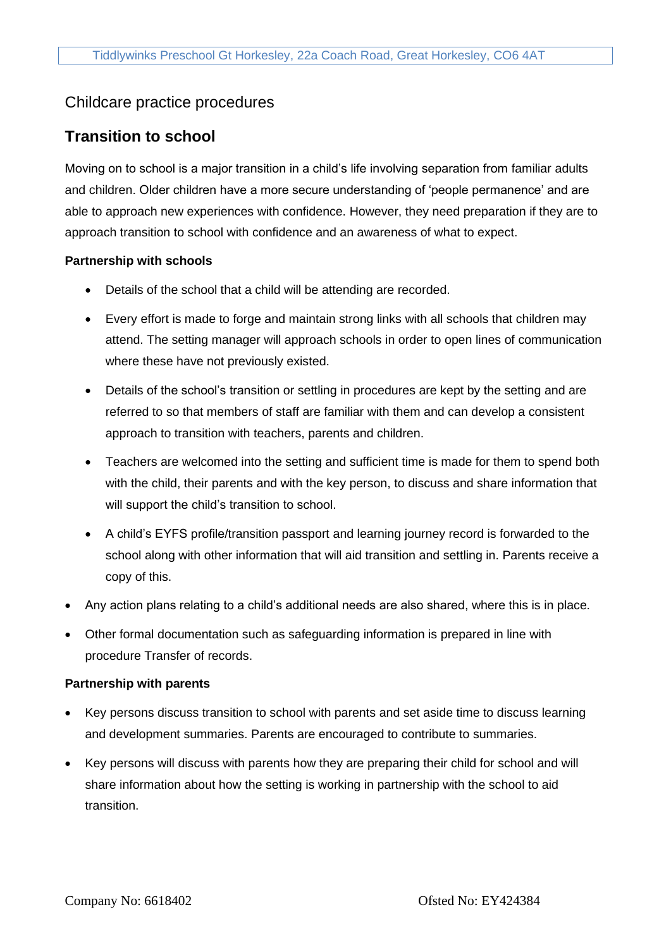## Childcare practice procedures

# **Transition to school**

Moving on to school is a major transition in a child's life involving separation from familiar adults and children. Older children have a more secure understanding of 'people permanence' and are able to approach new experiences with confidence. However, they need preparation if they are to approach transition to school with confidence and an awareness of what to expect.

## **Partnership with schools**

- Details of the school that a child will be attending are recorded.
- Every effort is made to forge and maintain strong links with all schools that children may attend. The setting manager will approach schools in order to open lines of communication where these have not previously existed.
- Details of the school's transition or settling in procedures are kept by the setting and are referred to so that members of staff are familiar with them and can develop a consistent approach to transition with teachers, parents and children.
- Teachers are welcomed into the setting and sufficient time is made for them to spend both with the child, their parents and with the key person, to discuss and share information that will support the child's transition to school.
- A child's EYFS profile/transition passport and learning journey record is forwarded to the school along with other information that will aid transition and settling in. Parents receive a copy of this.
- Any action plans relating to a child's additional needs are also shared, where this is in place.
- Other formal documentation such as safeguarding information is prepared in line with procedure Transfer of records.

#### **Partnership with parents**

- Key persons discuss transition to school with parents and set aside time to discuss learning and development summaries. Parents are encouraged to contribute to summaries.
- Key persons will discuss with parents how they are preparing their child for school and will share information about how the setting is working in partnership with the school to aid transition.